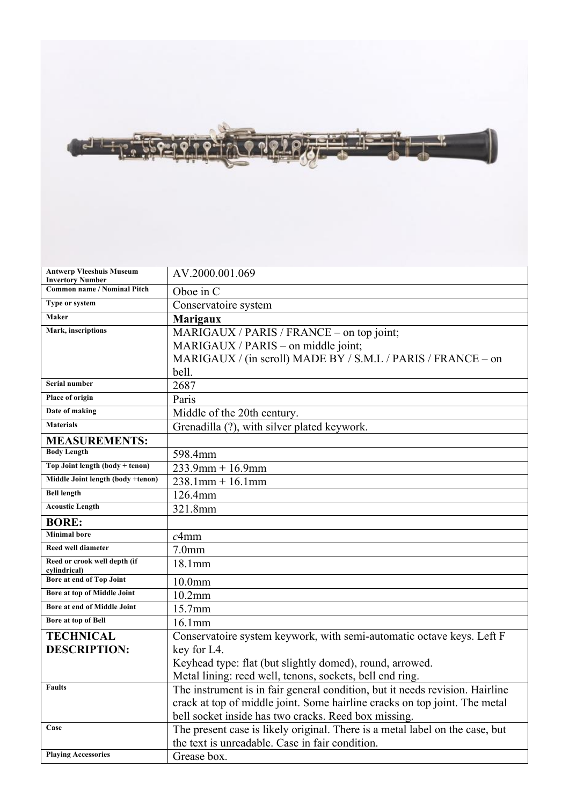

| <b>Antwerp Vleeshuis Museum</b><br><b>Invertory Number</b> | AV.2000.001.069                                                              |
|------------------------------------------------------------|------------------------------------------------------------------------------|
| <b>Common name / Nominal Pitch</b>                         | Oboe in C                                                                    |
| Type or system                                             | Conservatoire system                                                         |
| Maker                                                      | <b>Marigaux</b>                                                              |
| Mark, inscriptions                                         | MARIGAUX / PARIS / FRANCE – on top joint;                                    |
|                                                            | MARIGAUX / PARIS – on middle joint;                                          |
|                                                            | MARIGAUX / (in scroll) MADE BY / S.M.L / PARIS / FRANCE - on                 |
|                                                            | bell.                                                                        |
| Serial number                                              | 2687                                                                         |
| Place of origin                                            | Paris                                                                        |
| Date of making                                             | Middle of the 20th century.                                                  |
| <b>Materials</b>                                           | Grenadilla (?), with silver plated keywork.                                  |
| <b>MEASUREMENTS:</b>                                       |                                                                              |
| <b>Body Length</b>                                         | 598.4mm                                                                      |
| Top Joint length (body + tenon)                            | $233.9$ mm + 16.9mm                                                          |
| Middle Joint length (body +tenon)                          | $238.1$ mm + 16.1mm                                                          |
| <b>Bell length</b>                                         | 126.4mm                                                                      |
| <b>Acoustic Length</b>                                     | 321.8mm                                                                      |
| <b>BORE:</b>                                               |                                                                              |
| <b>Minimal</b> bore                                        | c4mm                                                                         |
| <b>Reed well diameter</b>                                  | 7.0 <sub>mm</sub>                                                            |
| Reed or crook well depth (if<br>cylindrical)               | 18.1mm                                                                       |
| Bore at end of Top Joint                                   | 10.0 <sub>mm</sub>                                                           |
| Bore at top of Middle Joint                                | $10.2$ mm                                                                    |
| Bore at end of Middle Joint                                | 15.7mm                                                                       |
| <b>Bore at top of Bell</b>                                 | 16.1mm                                                                       |
| <b>TECHNICAL</b>                                           | Conservatoire system keywork, with semi-automatic octave keys. Left F        |
| <b>DESCRIPTION:</b>                                        | key for L4.                                                                  |
|                                                            | Keyhead type: flat (but slightly domed), round, arrowed.                     |
|                                                            | Metal lining: reed well, tenons, sockets, bell end ring.                     |
| <b>Faults</b>                                              | The instrument is in fair general condition, but it needs revision. Hairline |
|                                                            | crack at top of middle joint. Some hairline cracks on top joint. The metal   |
|                                                            | bell socket inside has two cracks. Reed box missing.                         |
| Case                                                       | The present case is likely original. There is a metal label on the case, but |
|                                                            | the text is unreadable. Case in fair condition.                              |
| <b>Playing Accessories</b>                                 | Grease box.                                                                  |